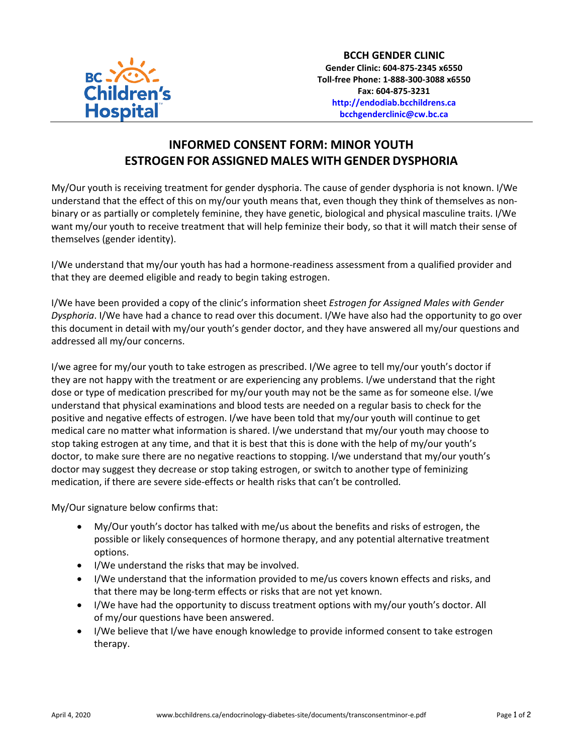

## **INFORMED CONSENT FORM: MINOR YOUTH ESTROGEN FOR ASSIGNED MALES WITH GENDER DYSPHORIA**

My/Our youth is receiving treatment for gender dysphoria. The cause of gender dysphoria is not known. I/We understand that the effect of this on my/our youth means that, even though they think of themselves as nonbinary or as partially or completely feminine, they have genetic, biological and physical masculine traits. I/We want my/our youth to receive treatment that will help feminize their body, so that it will match their sense of themselves (gender identity).

I/We understand that my/our youth has had a hormone-readiness assessment from a qualified provider and that they are deemed eligible and ready to begin taking estrogen.

I/We have been provided a copy of the clinic's information sheet *Estrogen for Assigned Males with Gender Dysphoria*. I/We have had a chance to read over this document. I/We have also had the opportunity to go over this document in detail with my/our youth's gender doctor, and they have answered all my/our questions and addressed all my/our concerns.

I/we agree for my/our youth to take estrogen as prescribed. I/We agree to tell my/our youth's doctor if they are not happy with the treatment or are experiencing any problems. I/we understand that the right dose or type of medication prescribed for my/our youth may not be the same as for someone else. I/we understand that physical examinations and blood tests are needed on a regular basis to check for the positive and negative effects of estrogen. I/we have been told that my/our youth will continue to get medical care no matter what information is shared. I/we understand that my/our youth may choose to stop taking estrogen at any time, and that it is best that this is done with the help of my/our youth's doctor, to make sure there are no negative reactions to stopping. I/we understand that my/our youth's doctor may suggest they decrease or stop taking estrogen, or switch to another type of feminizing medication, if there are severe side-effects or health risks that can't be controlled.

My/Our signature below confirms that:

- My/Our youth's doctor has talked with me/us about the benefits and risks of estrogen, the possible or likely consequences of hormone therapy, and any potential alternative treatment options.
- I/We understand the risks that may be involved.
- I/We understand that the information provided to me/us covers known effects and risks, and that there may be long-term effects or risks that are not yet known.
- I/We have had the opportunity to discuss treatment options with my/our youth's doctor. All of my/our questions have been answered.
- I/We believe that I/we have enough knowledge to provide informed consent to take estrogen therapy.